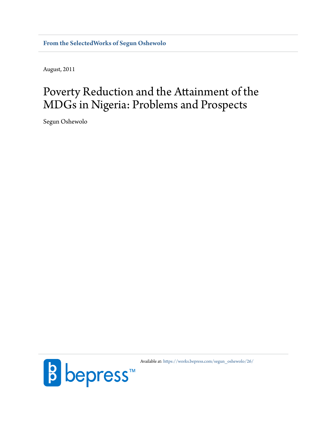**[From the SelectedWorks of Segun Oshewolo](https://works.bepress.com/segun_oshewolo/)**

August, 2011

# Poverty Reduction and the Attainment of the MDGs in Nigeria: Problems and Prospects

Segun Oshewolo



Available at: [https://works.bepress.com/segun\\_oshewolo/26/](https://works.bepress.com/segun_oshewolo/26/)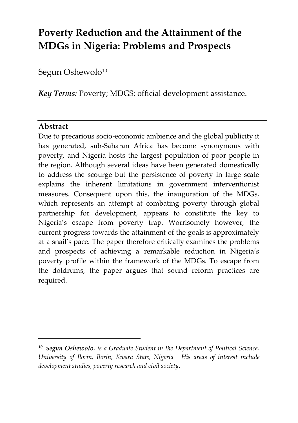## **Poverty Reduction and the Attainment of the MDGs in Nigeria: Problems and Prospects**

Segun Oshewolo<sup>10</sup>

*Key Terms:* Poverty; MDGS; official development assistance.

### **Abstract**

<u>.</u>

Due to precarious socio-economic ambience and the global publicity it has generated, sub-Saharan Africa has become synonymous with poverty, and Nigeria hosts the largest population of poor people in the region. Although several ideas have been generated domestically to address the scourge but the persistence of poverty in large scale explains the inherent limitations in government interventionist measures. Consequent upon this, the inauguration of the MDGs, which represents an attempt at combating poverty through global partnership for development, appears to constitute the key to Nigeria's escape from poverty trap. Worrisomely however, the current progress towards the attainment of the goals is approximately at a snail's pace. The paper therefore critically examines the problems and prospects of achieving a remarkable reduction in Nigeria's poverty profile within the framework of the MDGs. To escape from the doldrums, the paper argues that sound reform practices are required.

*<sup>10</sup> Segun Oshewolo, is a Graduate Student in the Department of Political Science, University of Ilorin, Ilorin, Kwara State, Nigeria. His areas of interest include development studies, poverty research and civil society.*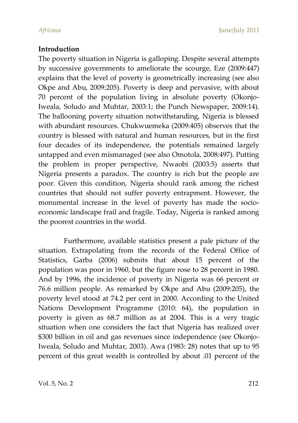#### **Introduction**

The poverty situation in Nigeria is galloping. Despite several attempts by successive governments to ameliorate the scourge, Eze (2009:447) explains that the level of poverty is geometrically increasing (see also Okpe and Abu, 2009:205). Poverty is deep and pervasive, with about 70 percent of the population living in absolute poverty (Okonjo-Iweala, Soludo and Muhtar, 2003:1; the Punch Newspaper, 2009:14). The ballooning poverty situation notwithstanding, Nigeria is blessed with abundant resources. Chukwuemeka (2009:405) observes that the country is blessed with natural and human resources, but in the first four decades of its independence, the potentials remained largely untapped and even mismanaged (see also Omotola, 2008:497). Putting the problem in proper perspective, Nwaobi (2003:5) asserts that Nigeria presents a paradox. The country is rich but the people are poor. Given this condition, Nigeria should rank among the richest countries that should not suffer poverty entrapment. However, the monumental increase in the level of poverty has made the socioeconomic landscape frail and fragile. Today, Nigeria is ranked among the poorest countries in the world.

Furthermore, available statistics present a pale picture of the situation. Extrapolating from the records of the Federal Office of Statistics, Garba (2006) submits that about 15 percent of the population was poor in 1960, but the figure rose to 28 percent in 1980. And by 1996, the incidence of poverty in Nigeria was 66 percent or 76.6 million people. As remarked by Okpe and Abu (2009:205), the poverty level stood at 74.2 per cent in 2000. According to the United Nations Development Programme (2010: 64), the population in poverty is given as 68.7 million as at 2004. This is a very tragic situation when one considers the fact that Nigeria has realized over \$300 billion in oil and gas revenues since independence (see Okonjo-Iweala, Soludo and Muhtar, 2003). Awa (1983: 28) notes that up to 95 percent of this great wealth is controlled by about .01 percent of the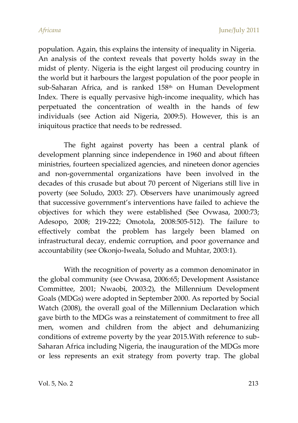population. Again, this explains the intensity of inequality in Nigeria. An analysis of the context reveals that poverty holds sway in the midst of plenty. Nigeria is the eight largest oil producing country in the world but it harbours the largest population of the poor people in sub-Saharan Africa, and is ranked 158th on Human Development Index. There is equally pervasive high-income inequality, which has perpetuated the concentration of wealth in the hands of few individuals (see Action aid Nigeria, 2009:5). However, this is an iniquitous practice that needs to be redressed.

The fight against poverty has been a central plank of development planning since independence in 1960 and about fifteen ministries, fourteen specialized agencies, and nineteen donor agencies and non-governmental organizations have been involved in the decades of this crusade but about 70 percent of Nigerians still live in poverty (see Soludo, 2003: 27). Observers have unanimously agreed that successive government's interventions have failed to achieve the objectives for which they were established (See Ovwasa, 2000:73; Adesopo, 2008; 219-222; Omotola, 2008:505-512). The failure to effectively combat the problem has largely been blamed on infrastructural decay, endemic corruption, and poor governance and accountability (see Okonjo-Iweala, Soludo and Muhtar, 2003:1).

With the recognition of poverty as a common denominator in the global community (see Ovwasa, 2006:65; Development Assistance Committee, 2001; Nwaobi, 2003:2), the Millennium Development Goals (MDGs) were adopted in September 2000. As reported by Social Watch (2008), the overall goal of the Millennium Declaration which gave birth to the MDGs was a reinstatement of commitment to free all men, women and children from the abject and dehumanizing conditions of extreme poverty by the year 2015.With reference to sub-Saharan Africa including Nigeria, the inauguration of the MDGs more or less represents an exit strategy from poverty trap. The global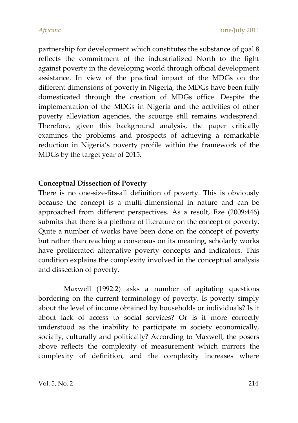partnership for development which constitutes the substance of goal 8 reflects the commitment of the industrialized North to the fight against poverty in the developing world through official development assistance. In view of the practical impact of the MDGs on the different dimensions of poverty in Nigeria, the MDGs have been fully domesticated through the creation of MDGs office. Despite the implementation of the MDGs in Nigeria and the activities of other poverty alleviation agencies, the scourge still remains widespread. Therefore, given this background analysis, the paper critically examines the problems and prospects of achieving a remarkable reduction in Nigeria's poverty profile within the framework of the MDGs by the target year of 2015.

#### **Conceptual Dissection of Poverty**

There is no one-size-fits-all definition of poverty. This is obviously because the concept is a multi-dimensional in nature and can be approached from different perspectives. As a result, Eze (2009:446) submits that there is a plethora of literature on the concept of poverty. Quite a number of works have been done on the concept of poverty but rather than reaching a consensus on its meaning, scholarly works have proliferated alternative poverty concepts and indicators. This condition explains the complexity involved in the conceptual analysis and dissection of poverty.

Maxwell (1992:2) asks a number of agitating questions bordering on the current terminology of poverty. Is poverty simply about the level of income obtained by households or individuals? Is it about lack of access to social services? Or is it more correctly understood as the inability to participate in society economically, socially, culturally and politically? According to Maxwell, the posers above reflects the complexity of measurement which mirrors the complexity of definition, and the complexity increases where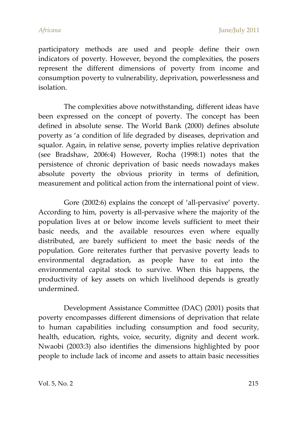participatory methods are used and people define their own indicators of poverty. However, beyond the complexities, the posers represent the different dimensions of poverty from income and consumption poverty to vulnerability, deprivation, powerlessness and isolation.

The complexities above notwithstanding, different ideas have been expressed on the concept of poverty. The concept has been defined in absolute sense. The World Bank (2000) defines absolute poverty as 'a condition of life degraded by diseases, deprivation and squalor. Again, in relative sense, poverty implies relative deprivation (see Bradshaw, 2006:4) However, Rocha (1998:1) notes that the persistence of chronic deprivation of basic needs nowadays makes absolute poverty the obvious priority in terms of definition, measurement and political action from the international point of view.

Gore (2002:6) explains the concept of 'all-pervasive' poverty. According to him, poverty is all-pervasive where the majority of the population lives at or below income levels sufficient to meet their basic needs, and the available resources even where equally distributed, are barely sufficient to meet the basic needs of the population. Gore reiterates further that pervasive poverty leads to environmental degradation, as people have to eat into the environmental capital stock to survive. When this happens, the productivity of key assets on which livelihood depends is greatly undermined.

Development Assistance Committee (DAC) (2001) posits that poverty encompasses different dimensions of deprivation that relate to human capabilities including consumption and food security, health, education, rights, voice, security, dignity and decent work. Nwaobi (2003:3) also identifies the dimensions highlighted by poor people to include lack of income and assets to attain basic necessities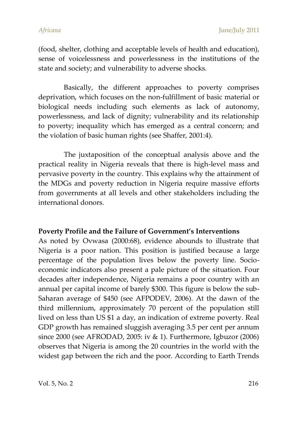(food, shelter, clothing and acceptable levels of health and education), sense of voicelessness and powerlessness in the institutions of the state and society; and vulnerability to adverse shocks.

Basically, the different approaches to poverty comprises deprivation, which focuses on the non-fulfillment of basic material or biological needs including such elements as lack of autonomy, powerlessness, and lack of dignity; vulnerability and its relationship to poverty; inequality which has emerged as a central concern; and the violation of basic human rights (see Shaffer, 2001:4).

The juxtaposition of the conceptual analysis above and the practical reality in Nigeria reveals that there is high-level mass and pervasive poverty in the country. This explains why the attainment of the MDGs and poverty reduction in Nigeria require massive efforts from governments at all levels and other stakeholders including the international donors.

#### **Poverty Profile and the Failure of Government's Interventions**

As noted by Ovwasa (2000:68), evidence abounds to illustrate that Nigeria is a poor nation. This position is justified because a large percentage of the population lives below the poverty line. Socioeconomic indicators also present a pale picture of the situation. Four decades after independence, Nigeria remains a poor country with an annual per capital income of barely \$300. This figure is below the sub-Saharan average of \$450 (see AFPODEV, 2006). At the dawn of the third millennium, approximately 70 percent of the population still lived on less than US \$1 a day, an indication of extreme poverty. Real GDP growth has remained sluggish averaging 3.5 per cent per annum since 2000 (see AFRODAD, 2005: iv & 1). Furthermore, Igbuzor (2006) observes that Nigeria is among the 20 countries in the world with the widest gap between the rich and the poor. According to Earth Trends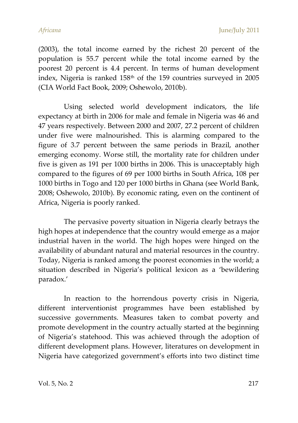*Africana* June/July 2011

(2003), the total income earned by the richest 20 percent of the population is 55.7 percent while the total income earned by the poorest 20 percent is 4.4 percent. In terms of human development index, Nigeria is ranked 158<sup>th</sup> of the 159 countries surveyed in 2005 (CIA World Fact Book, 2009; Oshewolo, 2010b).

Using selected world development indicators, the life expectancy at birth in 2006 for male and female in Nigeria was 46 and 47 years respectively. Between 2000 and 2007, 27.2 percent of children under five were malnourished. This is alarming compared to the figure of 3.7 percent between the same periods in Brazil, another emerging economy. Worse still, the mortality rate for children under five is given as 191 per 1000 births in 2006. This is unacceptably high compared to the figures of 69 per 1000 births in South Africa, 108 per 1000 births in Togo and 120 per 1000 births in Ghana (see World Bank, 2008; Oshewolo, 2010b). By economic rating, even on the continent of Africa, Nigeria is poorly ranked.

The pervasive poverty situation in Nigeria clearly betrays the high hopes at independence that the country would emerge as a major industrial haven in the world. The high hopes were hinged on the availability of abundant natural and material resources in the country. Today, Nigeria is ranked among the poorest economies in the world; a situation described in Nigeria's political lexicon as a 'bewildering paradox.'

In reaction to the horrendous poverty crisis in Nigeria, different interventionist programmes have been established by successive governments. Measures taken to combat poverty and promote development in the country actually started at the beginning of Nigeria's statehood. This was achieved through the adoption of different development plans. However, literatures on development in Nigeria have categorized government's efforts into two distinct time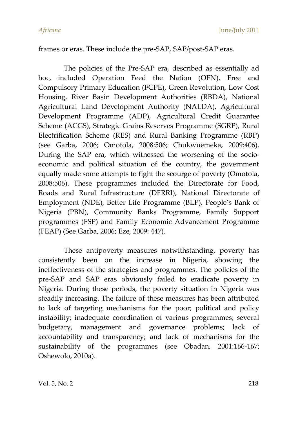#### frames or eras. These include the pre-SAP, SAP/post-SAP eras.

The policies of the Pre-SAP era, described as essentially ad hoc, included Operation Feed the Nation (OFN), Free and Compulsory Primary Education (FCPE), Green Revolution, Low Cost Housing, River Basin Development Authorities (RBDA), National Agricultural Land Development Authority (NALDA), Agricultural Development Programme (ADP), Agricultural Credit Guarantee Scheme (ACGS), Strategic Grains Reserves Programme (SGRP), Rural Electrification Scheme (RES) and Rural Banking Programme (RBP) (see Garba, 2006; Omotola, 2008:506; Chukwuemeka, 2009:406). During the SAP era, which witnessed the worsening of the socioeconomic and political situation of the country, the government equally made some attempts to fight the scourge of poverty (Omotola, 2008:506). These programmes included the Directorate for Food, Roads and Rural Infrastructure (DFRRI), National Directorate of Employment (NDE), Better Life Programme (BLP), People's Bank of Nigeria (PBN), Community Banks Programme, Family Support programmes (FSP) and Family Economic Advancement Programme (FEAP) (See Garba, 2006; Eze, 2009: 447).

These antipoverty measures notwithstanding, poverty has consistently been on the increase in Nigeria, showing the ineffectiveness of the strategies and programmes. The policies of the pre-SAP and SAP eras obviously failed to eradicate poverty in Nigeria. During these periods, the poverty situation in Nigeria was steadily increasing. The failure of these measures has been attributed to lack of targeting mechanisms for the poor; political and policy instability; inadequate coordination of various programmes; several budgetary, management and governance problems; lack of accountability and transparency; and lack of mechanisms for the sustainability of the programmes (see Obadan, 2001:166-167; Oshewolo, 2010a).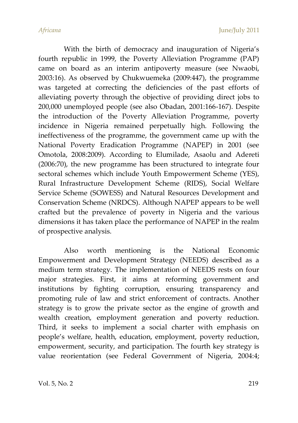With the birth of democracy and inauguration of Nigeria's fourth republic in 1999, the Poverty Alleviation Programme (PAP) came on board as an interim antipoverty measure (see Nwaobi, 2003:16). As observed by Chukwuemeka (2009:447), the programme was targeted at correcting the deficiencies of the past efforts of alleviating poverty through the objective of providing direct jobs to 200,000 unemployed people (see also Obadan, 2001:166-167). Despite the introduction of the Poverty Alleviation Programme, poverty incidence in Nigeria remained perpetually high. Following the ineffectiveness of the programme, the government came up with the National Poverty Eradication Programme (NAPEP) in 2001 (see Omotola, 2008:2009). According to Elumilade, Asaolu and Adereti (2006:70), the new programme has been structured to integrate four sectoral schemes which include Youth Empowerment Scheme (YES), Rural Infrastructure Development Scheme (RIDS), Social Welfare Service Scheme (SOWESS) and Natural Resources Development and Conservation Scheme (NRDCS). Although NAPEP appears to be well crafted but the prevalence of poverty in Nigeria and the various dimensions it has taken place the performance of NAPEP in the realm of prospective analysis.

Also worth mentioning is the National Economic Empowerment and Development Strategy (NEEDS) described as a medium term strategy. The implementation of NEEDS rests on four major strategies. First, it aims at reforming government and institutions by fighting corruption, ensuring transparency and promoting rule of law and strict enforcement of contracts. Another strategy is to grow the private sector as the engine of growth and wealth creation, employment generation and poverty reduction. Third, it seeks to implement a social charter with emphasis on people's welfare, health, education, employment, poverty reduction, empowerment, security, and participation. The fourth key strategy is value reorientation (see Federal Government of Nigeria, 2004:4;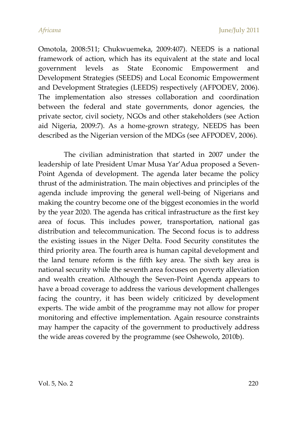Omotola, 2008:511; Chukwuemeka, 2009:407). NEEDS is a national framework of action, which has its equivalent at the state and local government levels as State Economic Empowerment and Development Strategies (SEEDS) and Local Economic Empowerment and Development Strategies (LEEDS) respectively (AFPODEV, 2006). The implementation also stresses collaboration and coordination between the federal and state governments, donor agencies, the private sector, civil society, NGOs and other stakeholders (see Action aid Nigeria, 2009:7). As a home-grown strategy, NEEDS has been described as the Nigerian version of the MDGs (see AFPODEV, 2006).

The civilian administration that started in 2007 under the leadership of late President Umar Musa Yar'Adua proposed a Seven-Point Agenda of development. The agenda later became the policy thrust of the administration. The main objectives and principles of the agenda include improving the general well-being of Nigerians and making the country become one of the biggest economies in the world by the year 2020. The agenda has critical infrastructure as the first key area of focus. This includes power, transportation, national gas distribution and telecommunication. The Second focus is to address the existing issues in the Niger Delta. Food Security constitutes the third priority area. The fourth area is human capital development and the land tenure reform is the fifth key area. The sixth key area is national security while the seventh area focuses on poverty alleviation and wealth creation. Although the Seven-Point Agenda appears to have a broad coverage to address the various development challenges facing the country, it has been widely criticized by development experts. The wide ambit of the programme may not allow for proper monitoring and effective implementation. Again resource constraints may hamper the capacity of the government to productively address the wide areas covered by the programme (see Oshewolo, 2010b).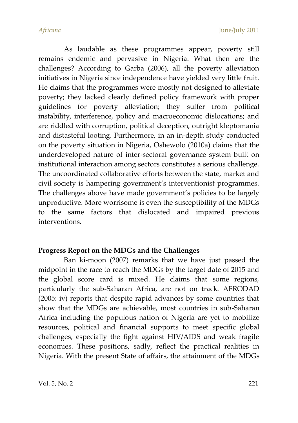As laudable as these programmes appear, poverty still remains endemic and pervasive in Nigeria. What then are the challenges? According to Garba (2006), all the poverty alleviation initiatives in Nigeria since independence have yielded very little fruit. He claims that the programmes were mostly not designed to alleviate poverty; they lacked clearly defined policy framework with proper guidelines for poverty alleviation; they suffer from political instability, interference, policy and macroeconomic dislocations; and are riddled with corruption, political deception, outright kleptomania and distasteful looting. Furthermore, in an in-depth study conducted on the poverty situation in Nigeria, Oshewolo (2010a) claims that the underdeveloped nature of inter-sectoral governance system built on institutional interaction among sectors constitutes a serious challenge. The uncoordinated collaborative efforts between the state, market and civil society is hampering government's interventionist programmes. The challenges above have made government's policies to be largely unproductive. More worrisome is even the susceptibility of the MDGs to the same factors that dislocated and impaired previous interventions.

### **Progress Report on the MDGs and the Challenges**

Ban ki-moon (2007) remarks that we have just passed the midpoint in the race to reach the MDGs by the target date of 2015 and the global score card is mixed. He claims that some regions, particularly the sub-Saharan Africa, are not on track. AFRODAD (2005: iv) reports that despite rapid advances by some countries that show that the MDGs are achievable, most countries in sub-Saharan Africa including the populous nation of Nigeria are yet to mobilize resources, political and financial supports to meet specific global challenges, especially the fight against HIV/AIDS and weak fragile economies. These positions, sadly, reflect the practical realities in Nigeria. With the present State of affairs, the attainment of the MDGs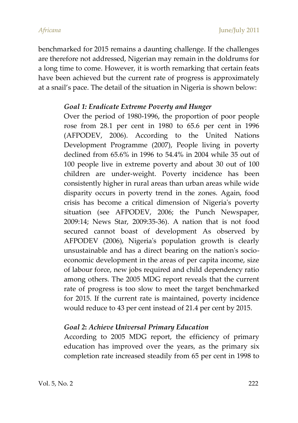benchmarked for 2015 remains a daunting challenge. If the challenges are therefore not addressed, Nigerian may remain in the doldrums for a long time to come. However, it is worth remarking that certain feats have been achieved but the current rate of progress is approximately at a snail's pace. The detail of the situation in Nigeria is shown below:

### *Goal 1: Eradicate Extreme Poverty and Hunger*

Over the period of 1980-1996, the proportion of poor people rose from 28.1 per cent in 1980 to 65.6 per cent in 1996 (AFPODEV, 2006). According to the United Nations Development Programme (2007), People living in poverty declined from 65.6% in 1996 to 54.4% in 2004 while 35 out of 100 people live in extreme poverty and about 30 out of 100 children are under-weight. Poverty incidence has been consistently higher in rural areas than urban areas while wide disparity occurs in poverty trend in the zones. Again, food crisis has become a critical dimension of Nigeria's poverty situation (see AFPODEV, 2006; the Punch Newspaper, 2009:14; News Star, 2009:35-36). A nation that is not food secured cannot boast of development As observed by AFPODEV (2006), Nigeria's population growth is clearly unsustainable and has a direct bearing on the nation's socioeconomic development in the areas of per capita income, size of labour force, new jobs required and child dependency ratio among others. The 2005 MDG report reveals that the current rate of progress is too slow to meet the target benchmarked for 2015. If the current rate is maintained, poverty incidence would reduce to 43 per cent instead of 21.4 per cent by 2015.

### *Goal 2***:** *Achieve Universal Primary Education*

According to 2005 MDG report, the efficiency of primary education has improved over the years, as the primary six completion rate increased steadily from 65 per cent in 1998 to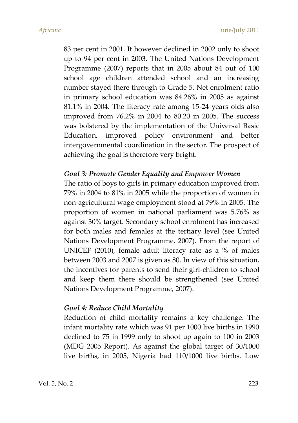83 per cent in 2001. It however declined in 2002 only to shoot up to 94 per cent in 2003. The United Nations Development Programme (2007) reports that in 2005 about 84 out of 100 school age children attended school and an increasing number stayed there through to Grade 5. Net enrolment ratio in primary school education was 84.26% in 2005 as against 81.1% in 2004. The literacy rate among 15-24 years olds also improved from 76.2% in 2004 to 80.20 in 2005. The success was bolstered by the implementation of the Universal Basic Education, improved policy environment and better intergovernmental coordination in the sector. The prospect of achieving the goal is therefore very bright.

#### *Goal 3: Promote Gender Equality and Empower Women*

The ratio of boys to girls in primary education improved from 79% in 2004 to 81% in 2005 while the proportion of women in non-agricultural wage employment stood at 79% in 2005. The proportion of women in national parliament was 5.76% as against 30% target. Secondary school enrolment has increased for both males and females at the tertiary level (see United Nations Development Programme, 2007). From the report of UNICEF (2010), female adult literacy rate as a % of males between 2003 and 2007 is given as 80. In view of this situation, the incentives for parents to send their girl-children to school and keep them there should be strengthened (see United Nations Development Programme, 2007).

#### *Goal 4: Reduce Child Mortality*

Reduction of child mortality remains a key challenge. The infant mortality rate which was 91 per 1000 live births in 1990 declined to 75 in 1999 only to shoot up again to 100 in 2003 (MDG 2005 Report). As against the global target of 30/1000 live births, in 2005, Nigeria had 110/1000 live births. Low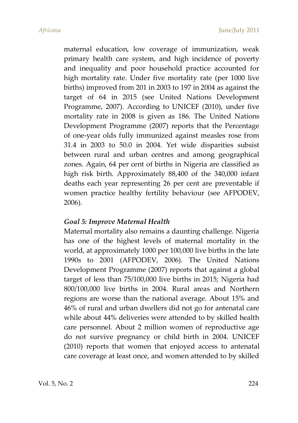maternal education, low coverage of immunization, weak primary health care system, and high incidence of poverty and inequality and poor household practice accounted for high mortality rate. Under five mortality rate (per 1000 live births) improved from 201 in 2003 to 197 in 2004 as against the target of 64 in 2015 (see United Nations Development Programme, 2007). According to UNICEF (2010), under five mortality rate in 2008 is given as 186. The United Nations Development Programme (2007) reports that the Percentage of one-year olds fully immunized against measles rose from 31.4 in 2003 to 50.0 in 2004. Yet wide disparities subsist between rural and urban centres and among geographical zones. Again, 64 per cent of births in Nigeria are classified as high risk birth. Approximately 88,400 of the 340,000 infant deaths each year representing 26 per cent are preventable if women practice healthy fertility behaviour (see AFPODEV, 2006).

#### *Goal 5: Improve Maternal Health*

Maternal mortality also remains a daunting challenge. Nigeria has one of the highest levels of maternal mortality in the world, at approximately 1000 per 100,000 live births in the late 1990s to 2001 (AFPODEV, 2006). The United Nations Development Programme (2007) reports that against a global target of less than 75/100,000 live births in 2015; Nigeria had 800/100,000 live births in 2004. Rural areas and Northern regions are worse than the national average. About 15% and 46% of rural and urban dwellers did not go for antenatal care while about 44% deliveries were attended to by skilled health care personnel. About 2 million women of reproductive age do not survive pregnancy or child birth in 2004. UNICEF (2010) reports that women that enjoyed access to antenatal care coverage at least once, and women attended to by skilled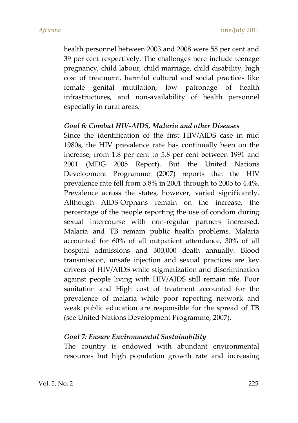health personnel between 2003 and 2008 were 58 per cent and 39 per cent respectively. The challenges here include teenage pregnancy, child labour, child marriage, child disability, high cost of treatment, harmful cultural and social practices like female genital mutilation, low patronage of health infrastructures, and non-availability of health personnel especially in rural areas.

#### *Goal 6: Combat HIV-AIDS, Malaria and other Diseases*

Since the identification of the first HIV/AIDS case in mid 1980s, the HIV prevalence rate has continually been on the increase, from 1.8 per cent to 5.8 per cent between 1991 and 2001 (MDG 2005 Report). But the United Nations Development Programme (2007) reports that the HIV prevalence rate fell from 5.8% in 2001 through to 2005 to 4.4%. Prevalence across the states, however, varied significantly. Although AIDS-Orphans remain on the increase, the percentage of the people reporting the use of condom during sexual intercourse with non-regular partners increased. Malaria and TB remain public health problems. Malaria accounted for 60% of all outpatient attendance, 30% of all hospital admissions and 300,000 death annually. Blood transmission, unsafe injection and sexual practices are key drivers of HIV/AIDS while stigmatization and discrimination against people living with HIV/AIDS still remain rife. Poor sanitation and High cost of treatment accounted for the prevalence of malaria while poor reporting network and weak public education are responsible for the spread of TB (see United Nations Development Programme, 2007).

#### *Goal 7: Ensure Environmental Sustainability*

The country is endowed with abundant environmental resources but high population growth rate and increasing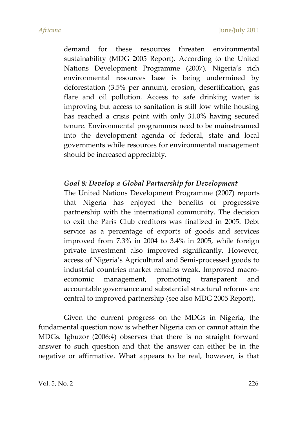demand for these resources threaten environmental sustainability (MDG 2005 Report). According to the United Nations Development Programme (2007), Nigeria's rich environmental resources base is being undermined by deforestation (3.5% per annum), erosion, desertification, gas flare and oil pollution. Access to safe drinking water is improving but access to sanitation is still low while housing has reached a crisis point with only 31.0% having secured tenure. Environmental programmes need to be mainstreamed into the development agenda of federal, state and local governments while resources for environmental management should be increased appreciably.

### *Goal 8: Develop a Global Partnership for Development*

The United Nations Development Programme (2007) reports that Nigeria has enjoyed the benefits of progressive partnership with the international community. The decision to exit the Paris Club creditors was finalized in 2005. Debt service as a percentage of exports of goods and services improved from 7.3% in 2004 to 3.4% in 2005, while foreign private investment also improved significantly. However, access of Nigeria's Agricultural and Semi-processed goods to industrial countries market remains weak. Improved macroeconomic management, promoting transparent and accountable governance and substantial structural reforms are central to improved partnership (see also MDG 2005 Report).

Given the current progress on the MDGs in Nigeria, the fundamental question now is whether Nigeria can or cannot attain the MDGs. Igbuzor (2006:4) observes that there is no straight forward answer to such question and that the answer can either be in the negative or affirmative. What appears to be real, however, is that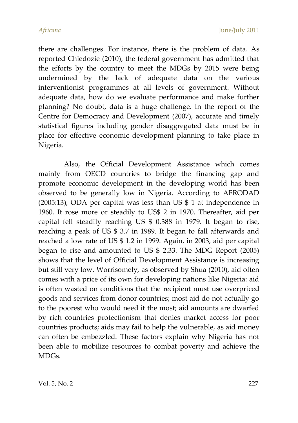there are challenges. For instance, there is the problem of data. As reported Chiedozie (2010), the federal government has admitted that the efforts by the country to meet the MDGs by 2015 were being undermined by the lack of adequate data on the various interventionist programmes at all levels of government. Without adequate data, how do we evaluate performance and make further planning? No doubt, data is a huge challenge. In the report of the Centre for Democracy and Development (2007), accurate and timely statistical figures including gender disaggregated data must be in place for effective economic development planning to take place in Nigeria.

Also, the Official Development Assistance which comes mainly from OECD countries to bridge the financing gap and promote economic development in the developing world has been observed to be generally low in Nigeria. According to AFRODAD (2005:13), ODA per capital was less than US \$ 1 at independence in 1960. It rose more or steadily to US\$ 2 in 1970. Thereafter, aid per capital fell steadily reaching US \$ 0.388 in 1979. It began to rise, reaching a peak of US \$ 3.7 in 1989. It began to fall afterwards and reached a low rate of US \$ 1.2 in 1999. Again, in 2003, aid per capital began to rise and amounted to US \$ 2.33. The MDG Report (2005) shows that the level of Official Development Assistance is increasing but still very low. Worrisomely, as observed by Shua (2010), aid often comes with a price of its own for developing nations like Nigeria: aid is often wasted on conditions that the recipient must use overpriced goods and services from donor countries; most aid do not actually go to the poorest who would need it the most; aid amounts are dwarfed by rich countries protectionism that denies market access for poor countries products; aids may fail to help the vulnerable, as aid money can often be embezzled. These factors explain why Nigeria has not been able to mobilize resources to combat poverty and achieve the MDGs.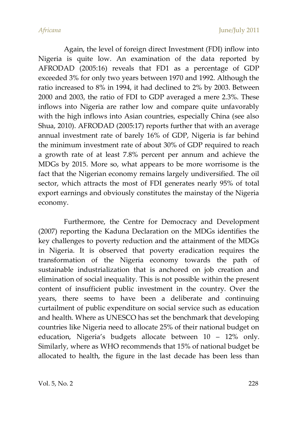Again, the level of foreign direct Investment (FDI) inflow into Nigeria is quite low. An examination of the data reported by AFRODAD (2005:16) reveals that FD1 as a percentage of GDP exceeded 3% for only two years between 1970 and 1992. Although the ratio increased to 8% in 1994, it had declined to 2% by 2003. Between 2000 and 2003, the ratio of FDI to GDP averaged a mere 2.3%. These inflows into Nigeria are rather low and compare quite unfavorably with the high inflows into Asian countries, especially China (see also Shua, 2010). AFRODAD (2005:17) reports further that with an average annual investment rate of barely 16% of GDP, Nigeria is far behind the minimum investment rate of about 30% of GDP required to reach a growth rate of at least 7.8% percent per annum and achieve the MDGs by 2015. More so, what appears to be more worrisome is the fact that the Nigerian economy remains largely undiversified. The oil sector, which attracts the most of FDI generates nearly 95% of total export earnings and obviously constitutes the mainstay of the Nigeria economy.

Furthermore, the Centre for Democracy and Development (2007) reporting the Kaduna Declaration on the MDGs identifies the key challenges to poverty reduction and the attainment of the MDGs in Nigeria. It is observed that poverty eradication requires the transformation of the Nigeria economy towards the path of sustainable industrialization that is anchored on job creation and elimination of social inequality. This is not possible within the present content of insufficient public investment in the country. Over the years, there seems to have been a deliberate and continuing curtailment of public expenditure on social service such as education and health. Where as UNESCO has set the benchmark that developing countries like Nigeria need to allocate 25% of their national budget on education, Nigeria's budgets allocate between 10 – 12% only. Similarly, where as WHO recommends that 15% of national budget be allocated to health, the figure in the last decade has been less than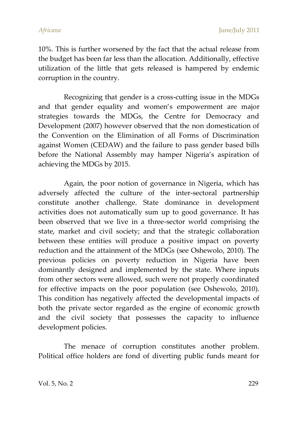10%. This is further worsened by the fact that the actual release from the budget has been far less than the allocation. Additionally, effective utilization of the little that gets released is hampered by endemic corruption in the country.

Recognizing that gender is a cross-cutting issue in the MDGs and that gender equality and women's empowerment are major strategies towards the MDGs, the Centre for Democracy and Development (2007) however observed that the non domestication of the Convention on the Elimination of all Forms of Discrimination against Women (CEDAW) and the failure to pass gender based bills before the National Assembly may hamper Nigeria's aspiration of achieving the MDGs by 2015.

Again, the poor notion of governance in Nigeria, which has adversely affected the culture of the inter-sectoral partnership constitute another challenge. State dominance in development activities does not automatically sum up to good governance. It has been observed that we live in a three-sector world comprising the state, market and civil society; and that the strategic collaboration between these entities will produce a positive impact on poverty reduction and the attainment of the MDGs (see Oshewolo, 2010). The previous policies on poverty reduction in Nigeria have been dominantly designed and implemented by the state. Where inputs from other sectors were allowed, such were not properly coordinated for effective impacts on the poor population (see Oshewolo, 2010). This condition has negatively affected the developmental impacts of both the private sector regarded as the engine of economic growth and the civil society that possesses the capacity to influence development policies.

The menace of corruption constitutes another problem. Political office holders are fond of diverting public funds meant for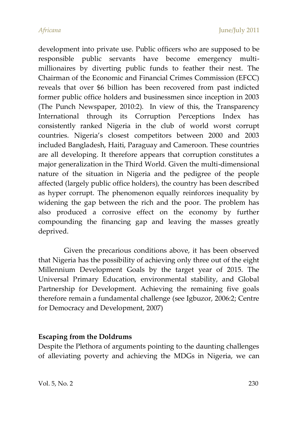development into private use. Public officers who are supposed to be responsible public servants have become emergency multimillionaires by diverting public funds to feather their nest. The Chairman of the Economic and Financial Crimes Commission (EFCC) reveals that over \$6 billion has been recovered from past indicted former public office holders and businessmen since inception in 2003 (The Punch Newspaper, 2010:2). In view of this, the Transparency International through its Corruption Perceptions Index has consistently ranked Nigeria in the club of world worst corrupt countries. Nigeria's closest competitors between 2000 and 2003 included Bangladesh, Haiti, Paraguay and Cameroon. These countries are all developing. It therefore appears that corruption constitutes a major generalization in the Third World. Given the multi-dimensional nature of the situation in Nigeria and the pedigree of the people affected (largely public office holders), the country has been described as hyper corrupt. The phenomenon equally reinforces inequality by widening the gap between the rich and the poor. The problem has also produced a corrosive effect on the economy by further compounding the financing gap and leaving the masses greatly deprived.

Given the precarious conditions above, it has been observed that Nigeria has the possibility of achieving only three out of the eight Millennium Development Goals by the target year of 2015. The Universal Primary Education, environmental stability, and Global Partnership for Development. Achieving the remaining five goals therefore remain a fundamental challenge (see Igbuzor, 2006:2; Centre for Democracy and Development, 2007)

#### **Escaping from the Doldrums**

Despite the Plethora of arguments pointing to the daunting challenges of alleviating poverty and achieving the MDGs in Nigeria, we can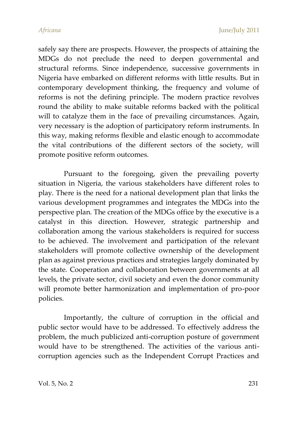safely say there are prospects. However, the prospects of attaining the MDGs do not preclude the need to deepen governmental and structural reforms. Since independence, successive governments in Nigeria have embarked on different reforms with little results. But in contemporary development thinking, the frequency and volume of reforms is not the defining principle. The modern practice revolves round the ability to make suitable reforms backed with the political will to catalyze them in the face of prevailing circumstances. Again, very necessary is the adoption of participatory reform instruments. In this way, making reforms flexible and elastic enough to accommodate the vital contributions of the different sectors of the society, will promote positive reform outcomes.

Pursuant to the foregoing, given the prevailing poverty situation in Nigeria, the various stakeholders have different roles to play. There is the need for a national development plan that links the various development programmes and integrates the MDGs into the perspective plan. The creation of the MDGs office by the executive is a catalyst in this direction. However, strategic partnership and collaboration among the various stakeholders is required for success to be achieved. The involvement and participation of the relevant stakeholders will promote collective ownership of the development plan as against previous practices and strategies largely dominated by the state. Cooperation and collaboration between governments at all levels, the private sector, civil society and even the donor community will promote better harmonization and implementation of pro-poor policies.

Importantly, the culture of corruption in the official and public sector would have to be addressed. To effectively address the problem, the much publicized anti-corruption posture of government would have to be strengthened. The activities of the various anticorruption agencies such as the Independent Corrupt Practices and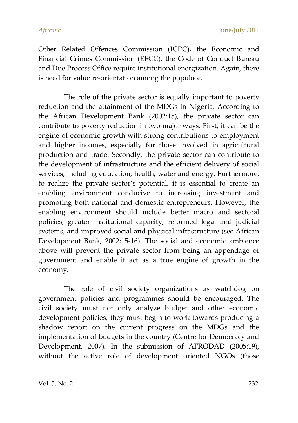*Africana* June/July 2011

Other Related Offences Commission (ICPC), the Economic and Financial Crimes Commission (EFCC), the Code of Conduct Bureau and Due Process Office require institutional energization. Again, there is need for value re-orientation among the populace.

The role of the private sector is equally important to poverty reduction and the attainment of the MDGs in Nigeria. According to the African Development Bank (2002:15), the private sector can contribute to poverty reduction in two major ways. First, it can be the engine of economic growth with strong contributions to employment and higher incomes, especially for those involved in agricultural production and trade. Secondly, the private sector can contribute to the development of infrastructure and the efficient delivery of social services, including education, health, water and energy. Furthermore, to realize the private sector's potential, it is essential to create an enabling environment conducive to increasing investment and promoting both national and domestic entrepreneurs. However, the enabling environment should include better macro and sectoral policies, greater institutional capacity, reformed legal and judicial systems, and improved social and physical infrastructure (see African Development Bank, 2002:15-16). The social and economic ambience above will prevent the private sector from being an appendage of government and enable it act as a true engine of growth in the economy.

The role of civil society organizations as watchdog on government policies and programmes should be encouraged. The civil society must not only analyze budget and other economic development policies, they must begin to work towards producing a shadow report on the current progress on the MDGs and the implementation of budgets in the country (Centre for Democracy and Development, 2007). In the submission of AFRODAD (2005:19), without the active role of development oriented NGOs (those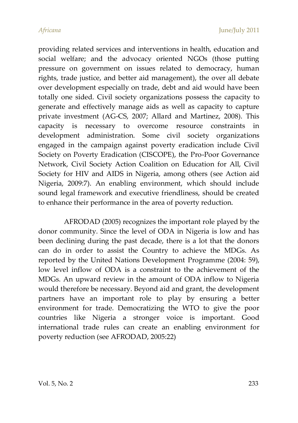providing related services and interventions in health, education and social welfare; and the advocacy oriented NGOs (those putting pressure on government on issues related to democracy, human rights, trade justice, and better aid management), the over all debate over development especially on trade, debt and aid would have been totally one sided. Civil society organizations possess the capacity to generate and effectively manage aids as well as capacity to capture private investment (AG-CS, 2007; Allard and Martinez, 2008). This capacity is necessary to overcome resource constraints in development administration. Some civil society organizations engaged in the campaign against poverty eradication include Civil Society on Poverty Eradication (CISCOPE), the Pro-Poor Governance Network, Civil Society Action Coalition on Education for All, Civil Society for HIV and AIDS in Nigeria, among others (see Action aid Nigeria, 2009:7). An enabling environment, which should include sound legal framework and executive friendliness, should be created to enhance their performance in the area of poverty reduction.

AFRODAD (2005) recognizes the important role played by the donor community. Since the level of ODA in Nigeria is low and has been declining during the past decade, there is a lot that the donors can do in order to assist the Country to achieve the MDGs. As reported by the United Nations Development Programme (2004: 59), low level inflow of ODA is a constraint to the achievement of the MDGs. An upward review in the amount of ODA inflow to Nigeria would therefore be necessary. Beyond aid and grant, the development partners have an important role to play by ensuring a better environment for trade. Democratizing the WTO to give the poor countries like Nigeria a stronger voice is important. Good international trade rules can create an enabling environment for poverty reduction (see AFRODAD, 2005:22)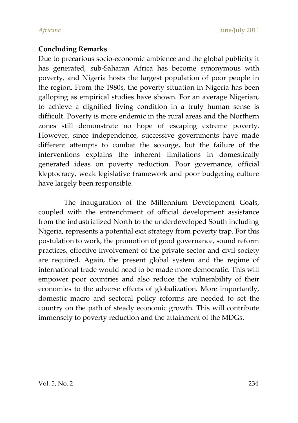#### **Concluding Remarks**

Due to precarious socio-economic ambience and the global publicity it has generated, sub-Saharan Africa has become synonymous with poverty, and Nigeria hosts the largest population of poor people in the region. From the 1980s, the poverty situation in Nigeria has been galloping as empirical studies have shown. For an average Nigerian, to achieve a dignified living condition in a truly human sense is difficult. Poverty is more endemic in the rural areas and the Northern zones still demonstrate no hope of escaping extreme poverty. However, since independence, successive governments have made different attempts to combat the scourge, but the failure of the interventions explains the inherent limitations in domestically generated ideas on poverty reduction. Poor governance, official kleptocracy, weak legislative framework and poor budgeting culture have largely been responsible.

The inauguration of the Millennium Development Goals, coupled with the entrenchment of official development assistance from the industrialized North to the underdeveloped South including Nigeria, represents a potential exit strategy from poverty trap. For this postulation to work, the promotion of good governance, sound reform practices, effective involvement of the private sector and civil society are required. Again, the present global system and the regime of international trade would need to be made more democratic. This will empower poor countries and also reduce the vulnerability of their economies to the adverse effects of globalization. More importantly, domestic macro and sectoral policy reforms are needed to set the country on the path of steady economic growth. This will contribute immensely to poverty reduction and the attainment of the MDGs.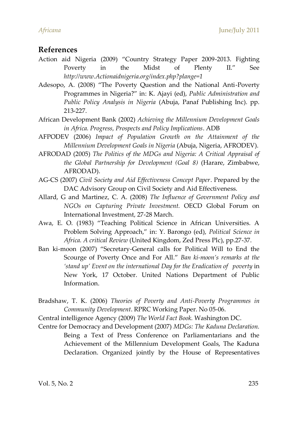#### **References**

- Action aid Nigeria (2009) 'Country Strategy Paper 2009-2013. Fighting Poverty in the Midst of Plenty II.' See *http://www.Actionaidnigeria.org/index.php?plange=1*
- Adesopo, A. (2008) 'The Poverty Question and the National Anti-Poverty Programmes in Nigeria?' in: K. Ajayi (ed), *Public Administration and Public Policy Analysis in Nigeria* (Abuja, Panaf Publishing Inc). pp. 213-227.
- African Development Bank (2002) *Achieving the Millennium Development Goals in Africa. Progress, Prospects and Policy Implications*. ADB
- AFPODEV (2006) *Impact of Population Growth on the Attainment of the Millennium Development Goals in Nigeria* (Abuja, Nigeria, AFRODEV).
- AFRODAD (2005) *The Politics of the MDGs and Nigeria: A Critical Appraisal of the Global Partnership for Development (Goal 8)* (Harare, Zimbabwe, AFRODAD).
- AG-CS (2007) *Civil Society and Aid Effectiveness Concept Paper*. Prepared by the DAC Advisory Group on Civil Society and Aid Effectiveness.
- Allard, G and Martinez, C. A. (2008) *The Influence of Government Policy and NGOs on Capturing Private Investment.* OECD Global Forum on International Investment, 27-28 March.
- Awa, E. O. (1983) 'Teaching Political Science in African Universities. A Problem Solving Approach,' in: Y. Barongo (ed), *Political Science in Africa. A critical Review* (United Kingdom, Zed Press Plc), pp.27-37.
- Ban ki-moon (2007) 'Secretary-General calls for Political Will to End the Scourge of Poverty Once and For All.' *Ban ki-moon's remarks at the 'stand up' Event on the international Day for the Eradication of poverty* in New York, 17 October. United Nations Department of Public Information.
- Bradshaw, T. K. (2006) *Theories of Poverty and Anti-Poverty Programmes in Community Development*. RPRC Working Paper. No 05-06.
- Central intelligence Agency (2009) *The World Fact Book.* Washington DC.
- Centre for Democracy and Development (2007) *MDGs: The Kaduna Declaration.* Being a Text of Press Conference on Parliamentarians and the Achievement of the Millennium Development Goals, The Kaduna Declaration. Organized jointly by the House of Representatives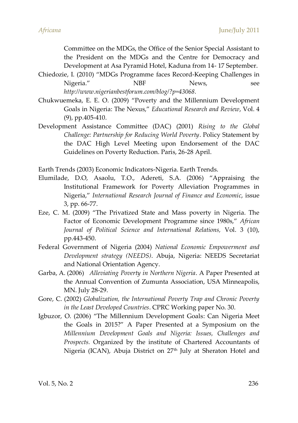Committee on the MDGs, the Office of the Senior Special Assistant to the President on the MDGs and the Centre for Democracy and Development at Asa Pyramid Hotel, Kaduna from 14- 17 September.

- Chiedozie, I. (2010) 'MDGs Programme faces Record-Keeping Challenges in Nigeria." NBF News, see *http://www.nigerianbestforum.com/blog/?p=43068.*
- Chukwuemeka, E. E. O. (2009) 'Poverty and the Millennium Development Goals in Nigeria: The Nexus,' *Educational Research and Review*, Vol. 4 (9), pp.405-410.
- Development Assistance Committee (DAC) (2001) *Rising to the Global Challenge: Partnership for Reducing World Poverty*. Policy Statement by the DAC High Level Meeting upon Endorsement of the DAC Guidelines on Poverty Reduction. Paris, 26-28 April.

Earth Trends (2003) Economic Indicators-Nigeria. Earth Trends.

- Elumilade, D.O, Asaolu, T.O., Adereti, S.A. (2006) 'Appraising the Institutional Framework for Poverty Alleviation Programmes in Nigeria,' *International Research Journal of Finance and Economic*, issue 3, pp. 66-77.
- Eze, C. M. (2009) 'The Privatized State and Mass poverty in Nigeria. The Factor of Economic Development Programme since 1980s,' *African Journal of Political Science and International Relations,* Vol. 3 (10), pp.443-450.
- Federal Government of Nigeria (2004) *National Economic Empowerment and Development strategy (NEEDS)*. Abuja, Nigeria: NEEDS Secretariat and National Orientation Agency.
- Garba, A. (2006) *Alleviating Poverty in Northern Nigeria*. A Paper Presented at the Annual Convention of Zumunta Association, USA Minneapolis, MN. July 28-29.
- Gore, C. (2002) *Globalization, the International Poverty Trap and Chronic Poverty in the Least Developed Countries*. CPRC Working paper No. 30.
- Igbuzor, O. (2006) 'The Millennium Development Goals: Can Nigeria Meet the Goals in 2015?' A Paper Presented at a Symposium on the *Millennium Development Goals and Nigeria: Issues, Challenges and Prospects.* Organized by the institute of Chartered Accountants of Nigeria (ICAN), Abuja District on 27<sup>th</sup> July at Sheraton Hotel and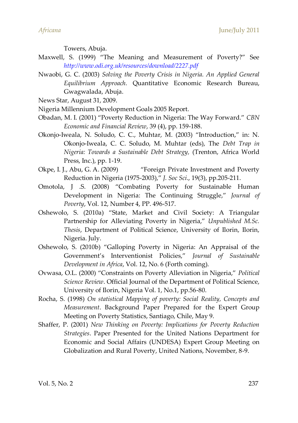Towers, Abuja.

- Maxwell, S. (1999) 'The Meaning and Measurement of Poverty?' See *http://www.odi.org.uk/resources/download/2227.pdf*
- Nwaobi, G. C. (2003) *Solving the Poverty Crisis in Nigeria. An Applied General Equilibrium Approach.* Quantitative Economic Research Bureau, Gwagwalada, Abuja.

News Star, August 31, 2009.

Nigeria Millennium Development Goals 2005 Report.

- Obadan, M. I. (2001) 'Poverty Reduction in Nigeria: The Way Forward.' *CBN Economic and Financial Review*, 39 (4), pp. 159-188.
- Okonjo-Iweala, N. Soludo, C. C., Muhtar, M. (2003) 'Introduction,' in: N. Okonjo-Iweala, C. C. Soludo, M. Muhtar (eds), The *Debt Trap in Nigeria: Towards a Sustainable Debt Strategy,* (Trenton, Africa World Press, Inc.), pp. 1-19.
- Okpe, I. J., Abu, G. A. (2009) 'Foreign Private Investment and Poverty Reduction in Nigeria (1975-2003),' *J. Soc Sci*., 19(3), pp.205-211.
- Omotola, J .S. (2008) 'Combating Poverty for Sustainable Human Development in Nigeria: The Continuing Struggle,' *Journal of Poverty*, Vol. 12, Number 4, PP. 496-517.
- Oshewolo, S. (2010a) 'State, Market and Civil Society: A Triangular Partnership for Alleviating Poverty in Nigeria,' *Unpublished M.Sc. Thesis*, Department of Political Science, University of Ilorin, Ilorin, Nigeria. July.
- Oshewolo, S. (2010b) 'Galloping Poverty in Nigeria: An Appraisal of the Government's Interventionist Policies,' *Journal of Sustainable Development in Africa*, Vol. 12, No. 6 (Forth coming).
- Ovwasa, O.L. (2000) 'Constraints on Poverty Alleviation in Nigeria,' *Political Science Review*. Official Journal of the Department of Political Science, University of Ilorin, Nigeria Vol. 1, No.1, pp.56-80.
- Rocha, S. (1998) *On statistical Mapping of poverty: Social Reality, Concepts and Measurement*. Background Paper Prepared for the Expert Group Meeting on Poverty Statistics, Santiago, Chile, May 9.
- Shaffer, P. (2001) *New Thinking on Poverty: Implications for Poverty Reduction Strategies*. Paper Presented for the United Nations Department for Economic and Social Affairs (UNDESA) Expert Group Meeting on Globalization and Rural Poverty, United Nations, November, 8-9.